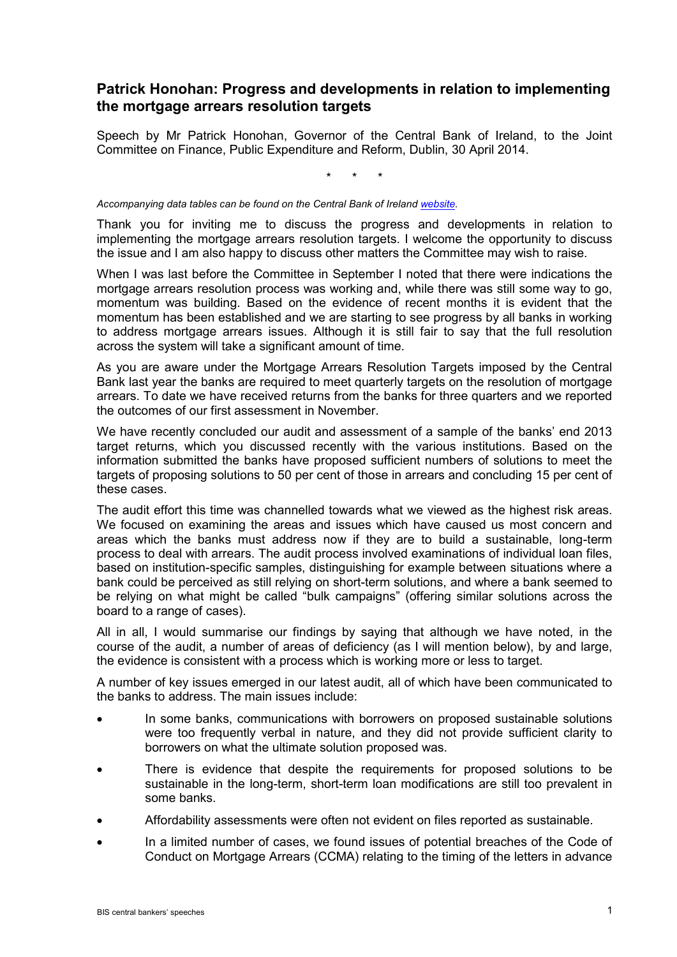## **Patrick Honohan: Progress and developments in relation to implementing the mortgage arrears resolution targets**

Speech by Mr Patrick Honohan, Governor of the Central Bank of Ireland, to the Joint Committee on Finance, Public Expenditure and Reform, Dublin, 30 April 2014.

\* \* \*

*Accompanying data tables can be found on the Central Bank of Ireland [website.](http://www.centralbank.ie/press-area/speeches/Documents/30%20April%202014%20Oireachtas%20Committee%20accompanying%20chart.pdf)*

Thank you for inviting me to discuss the progress and developments in relation to implementing the mortgage arrears resolution targets. I welcome the opportunity to discuss the issue and I am also happy to discuss other matters the Committee may wish to raise.

When I was last before the Committee in September I noted that there were indications the mortgage arrears resolution process was working and, while there was still some way to go, momentum was building. Based on the evidence of recent months it is evident that the momentum has been established and we are starting to see progress by all banks in working to address mortgage arrears issues. Although it is still fair to say that the full resolution across the system will take a significant amount of time.

As you are aware under the Mortgage Arrears Resolution Targets imposed by the Central Bank last year the banks are required to meet quarterly targets on the resolution of mortgage arrears. To date we have received returns from the banks for three quarters and we reported the outcomes of our first assessment in November.

We have recently concluded our audit and assessment of a sample of the banks' end 2013 target returns, which you discussed recently with the various institutions. Based on the information submitted the banks have proposed sufficient numbers of solutions to meet the targets of proposing solutions to 50 per cent of those in arrears and concluding 15 per cent of these cases.

The audit effort this time was channelled towards what we viewed as the highest risk areas. We focused on examining the areas and issues which have caused us most concern and areas which the banks must address now if they are to build a sustainable, long-term process to deal with arrears. The audit process involved examinations of individual loan files, based on institution-specific samples, distinguishing for example between situations where a bank could be perceived as still relying on short-term solutions, and where a bank seemed to be relying on what might be called "bulk campaigns" (offering similar solutions across the board to a range of cases).

All in all, I would summarise our findings by saying that although we have noted, in the course of the audit, a number of areas of deficiency (as I will mention below), by and large, the evidence is consistent with a process which is working more or less to target.

A number of key issues emerged in our latest audit, all of which have been communicated to the banks to address. The main issues include:

- In some banks, communications with borrowers on proposed sustainable solutions were too frequently verbal in nature, and they did not provide sufficient clarity to borrowers on what the ultimate solution proposed was.
- There is evidence that despite the requirements for proposed solutions to be sustainable in the long-term, short-term loan modifications are still too prevalent in some banks.
- Affordability assessments were often not evident on files reported as sustainable.
- In a limited number of cases, we found issues of potential breaches of the Code of Conduct on Mortgage Arrears (CCMA) relating to the timing of the letters in advance